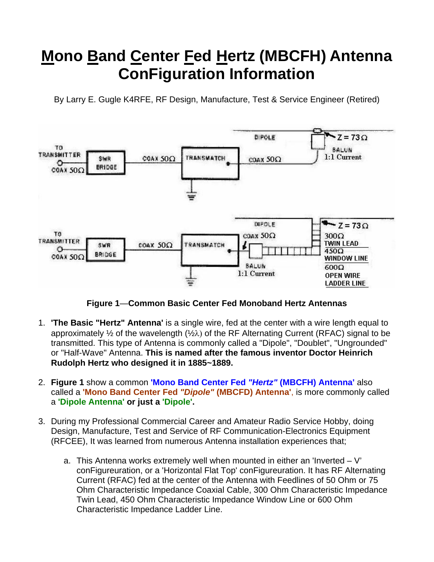## **Mono Band Center Fed Hertz (MBCFH) Antenna ConFiguration Information**

By Larry E. Gugle K4RFE, RF Design, Manufacture, Test & Service Engineer (Retired)



**Figure 1**—**Common Basic Center Fed Monoband Hertz Antennas** 

- 1. **'The Basic "Hertz" Antenna'** is a single wire, fed at the center with a wire length equal to approximately  $\frac{1}{2}$  of the wavelength ( $\frac{1}{2}$ ) of the RF Alternating Current (RFAC) signal to be transmitted. This type of Antenna is commonly called a "Dipole", "Doublet", "Ungrounded" or "Half-Wave" Antenna. **This is named after the famous inventor Doctor Heinrich Rudolph Hertz who designed it in 1885~1889.**
- 2. **Figure 1** show a common **'Mono Band Center Fed** *"Hertz"* **(MBCFH) Antenna'** also called a **'Mono Band Center Fed** *"Dipole"* **(MBCFD) Antenna'**, is more commonly called a **'Dipole Antenna' or just a 'Dipole'.**
- 3. During my Professional Commercial Career and Amateur Radio Service Hobby, doing Design, Manufacture, Test and Service of RF Communication-Electronics Equipment (RFCEE), It was learned from numerous Antenna installation experiences that;
	- a. This Antenna works extremely well when mounted in either an 'Inverted  $-V$ ' conFigureuration, or a 'Horizontal Flat Top' conFigureuration. It has RF Alternating Current (RFAC) fed at the center of the Antenna with Feedlines of 50 Ohm or 75 Ohm Characteristic Impedance Coaxial Cable, 300 Ohm Characteristic Impedance Twin Lead, 450 Ohm Characteristic Impedance Window Line or 600 Ohm Characteristic Impedance Ladder Line.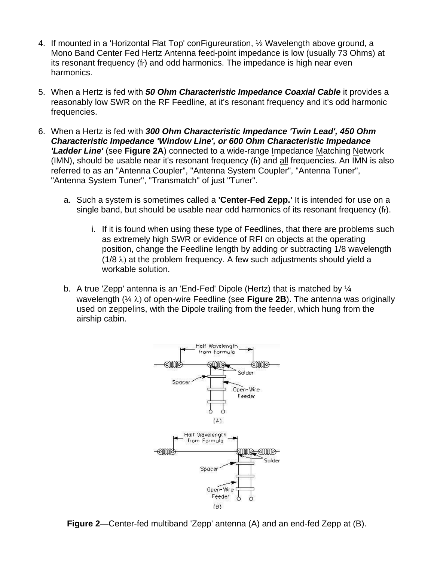- 4. If mounted in a 'Horizontal Flat Top' conFigureuration, ½ Wavelength above ground, a Mono Band Center Fed Hertz Antenna feed-point impedance is low (usually 73 Ohms) at its resonant frequency (fr) and odd harmonics. The impedance is high near even harmonics.
- 5. When a Hertz is fed with *50 Ohm Characteristic Impedance Coaxial Cable* it provides a reasonably low SWR on the RF Feedline, at it's resonant frequency and it's odd harmonic frequencies.
- 6. When a Hertz is fed with *300 Ohm Characteristic Impedance 'Twin Lead', 450 Ohm Characteristic Impedance 'Window Line', or 600 Ohm Characteristic Impedance 'Ladder Line'* (see **Figure 2A**) connected to a wide-range Impedance Matching Network (IMN), should be usable near it's resonant frequency (fr) and all frequencies. An IMN is also referred to as an "Antenna Coupler", "Antenna System Coupler", "Antenna Tuner", "Antenna System Tuner", "Transmatch" of just "Tuner".
	- a. Such a system is sometimes called a **'Center-Fed Zepp.'** It is intended for use on a single band, but should be usable near odd harmonics of its resonant frequency (fr).
		- i. If it is found when using these type of Feedlines, that there are problems such as extremely high SWR or evidence of RFI on objects at the operating position, change the Feedline length by adding or subtracting 1/8 wavelength  $(1/8 \lambda)$  at the problem frequency. A few such adjustments should yield a workable solution.
	- b. A true 'Zepp' antenna is an 'End-Fed' Dipole (Hertz) that is matched by ¼ wavelength  $(\frac{1}{4} \lambda)$  of open-wire Feedline (see **Figure 2B**). The antenna was originally used on zeppelins, with the Dipole trailing from the feeder, which hung from the airship cabin.



**Figure 2**—Center-fed multiband 'Zepp' antenna (A) and an end-fed Zepp at (B).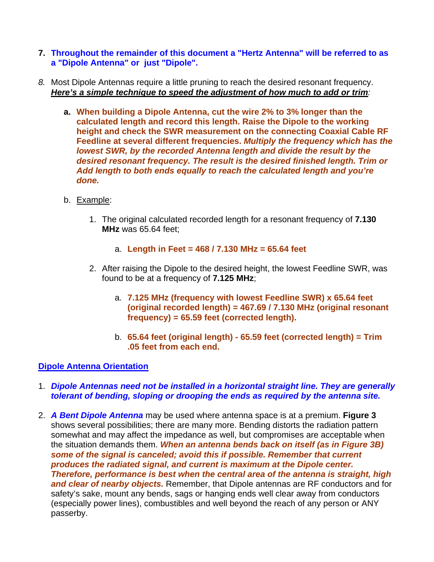- **7. Throughout the remainder of this document a "Hertz Antenna" will be referred to as a "Dipole Antenna" or just "Dipole".**
- *8.* Most Dipole Antennas require a little pruning to reach the desired resonant frequency. *Here's a simple technique to speed the adjustment of how much to add or trim:* 
	- **a. When building a Dipole Antenna, cut the wire 2% to 3% longer than the calculated length and record this length. Raise the Dipole to the working height and check the SWR measurement on the connecting Coaxial Cable RF Feedline at several different frequencies.** *Multiply the frequency which has the lowest SWR, by the recorded Antenna length and divide the result by the desired resonant frequency. The result is the desired finished length. Trim or Add length to both ends equally to reach the calculated length and you're done.*
	- b. Example:
		- 1. The original calculated recorded length for a resonant frequency of **7.130 MHz** was 65.64 feet;
			- a. **Length in Feet = 468 / 7.130 MHz = 65.64 feet**
		- 2. After raising the Dipole to the desired height, the lowest Feedline SWR, was found to be at a frequency of **7.125 MHz**;
			- a. **7.125 MHz (frequency with lowest Feedline SWR) x 65.64 feet (original recorded length) = 467.69 / 7.130 MHz (original resonant frequency) = 65.59 feet (corrected length).**
			- b. **65.64 feet (original length) 65.59 feet (corrected length) = Trim .05 feet from each end.**

## **Dipole Antenna Orientation**

- 1. *Dipole Antennas need not be installed in a horizontal straight line. They are generally tolerant of bending, sloping or drooping the ends as required by the antenna site.*
- 2. *A Bent Dipole Antenna* may be used where antenna space is at a premium. **Figure 3** shows several possibilities; there are many more. Bending distorts the radiation pattern somewhat and may affect the impedance as well, but compromises are acceptable when the situation demands them. *When an antenna bends back on itself (as in Figure 3B) some of the signal is canceled; avoid this if possible. Remember that current produces the radiated signal, and current is maximum at the Dipole center. Therefore, performance is best when the central area of the antenna is straight, high and clear of nearby objects.* Remember, that Dipole antennas are RF conductors and for safety's sake, mount any bends, sags or hanging ends well clear away from conductors (especially power lines), combustibles and well beyond the reach of any person or ANY passerby.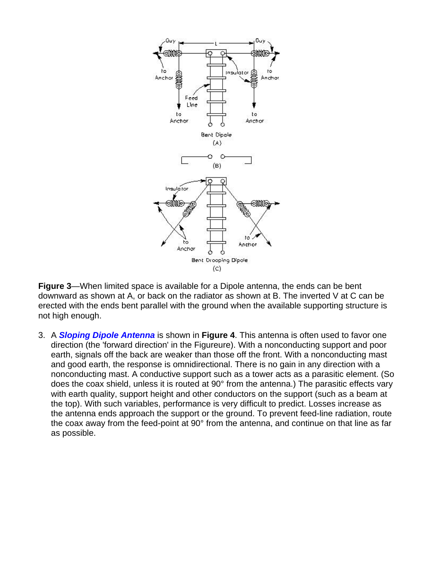

**Figure 3**—When limited space is available for a Dipole antenna, the ends can be bent downward as shown at A, or back on the radiator as shown at B. The inverted V at C can be erected with the ends bent parallel with the ground when the available supporting structure is not high enough.

3. A *Sloping Dipole Antenna* is shown in **Figure 4**. This antenna is often used to favor one direction (the 'forward direction' in the Figureure). With a nonconducting support and poor earth, signals off the back are weaker than those off the front. With a nonconducting mast and good earth, the response is omnidirectional. There is no gain in any direction with a nonconducting mast. A conductive support such as a tower acts as a parasitic element. (So does the coax shield, unless it is routed at 90° from the antenna.) The parasitic effects vary with earth quality, support height and other conductors on the support (such as a beam at the top). With such variables, performance is very difficult to predict. Losses increase as the antenna ends approach the support or the ground. To prevent feed-line radiation, route the coax away from the feed-point at 90° from the antenna, and continue on that line as far as possible.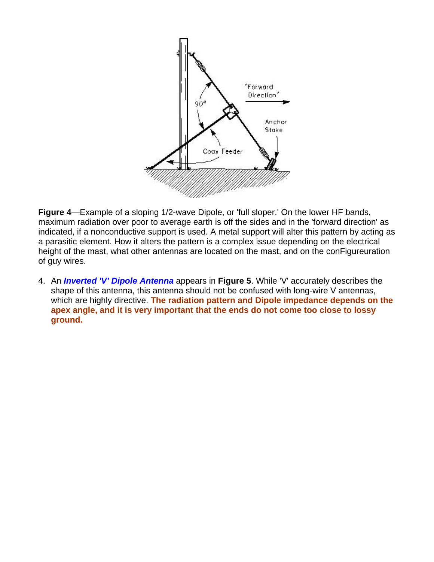

**Figure 4**—Example of a sloping 1/2-wave Dipole, or 'full sloper.' On the lower HF bands, maximum radiation over poor to average earth is off the sides and in the 'forward direction' as indicated, if a nonconductive support is used. A metal support will alter this pattern by acting as a parasitic element. How it alters the pattern is a complex issue depending on the electrical height of the mast, what other antennas are located on the mast, and on the conFigureuration of guy wires.

4. An *Inverted 'V' Dipole Antenna* appears in **Figure 5**. While 'V' accurately describes the shape of this antenna, this antenna should not be confused with long-wire V antennas, which are highly directive. **The radiation pattern and Dipole impedance depends on the apex angle, and it is very important that the ends do not come too close to lossy ground.**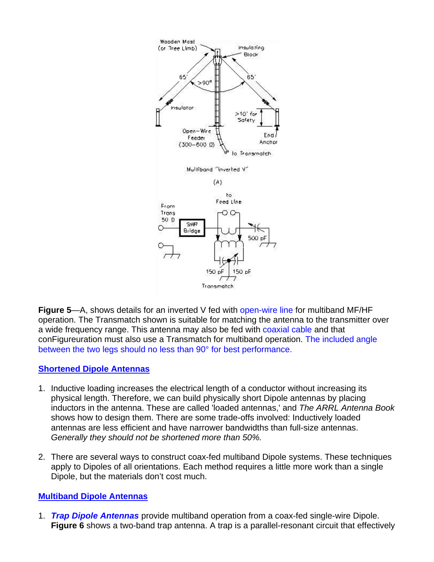

**Figure 5**—A, shows details for an inverted V fed with open-wire line for multiband MF/HF operation. The Transmatch shown is suitable for matching the antenna to the transmitter over a wide frequency range. This antenna may also be fed with coaxial cable and that conFigureuration must also use a Transmatch for multiband operation. The included angle between the two legs should no less than 90° for best performance.

## **Shortened Dipole Antennas**

- 1. Inductive loading increases the electrical length of a conductor without increasing its physical length. Therefore, we can build physically short Dipole antennas by placing inductors in the antenna. These are called 'loaded antennas,' and *The ARRL Antenna Book* shows how to design them. There are some trade-offs involved: Inductively loaded antennas are less efficient and have narrower bandwidths than full-size antennas. *Generally they should not be shortened more than 50%.*
- 2. There are several ways to construct coax-fed multiband Dipole systems. These techniques apply to Dipoles of all orientations. Each method requires a little more work than a single Dipole, but the materials don't cost much.

## **Multiband Dipole Antennas**

1. *Trap Dipole Antennas* provide multiband operation from a coax-fed single-wire Dipole. **Figure 6** shows a two-band trap antenna. A trap is a parallel-resonant circuit that effectively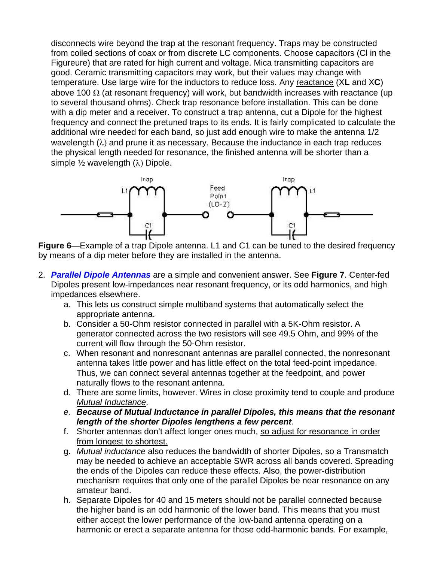disconnects wire beyond the trap at the resonant frequency. Traps may be constructed from coiled sections of coax or from discrete LC components. Choose capacitors (Cl in the Figureure) that are rated for high current and voltage. Mica transmitting capacitors are good. Ceramic transmitting capacitors may work, but their values may change with temperature. Use large wire for the inductors to reduce loss. Any reactance (X**L** and X**C**) above 100  $\Omega$  (at resonant frequency) will work, but bandwidth increases with reactance (up to several thousand ohms). Check trap resonance before installation. This can be done with a dip meter and a receiver. To construct a trap antenna, cut a Dipole for the highest frequency and connect the pretuned traps to its ends. It is fairly complicated to calculate the additional wire needed for each band, so just add enough wire to make the antenna 1/2 wavelength  $(\lambda)$  and prune it as necessary. Because the inductance in each trap reduces the physical length needed for resonance, the finished antenna will be shorter than a simple  $\frac{1}{2}$  wavelength  $(\lambda)$  Dipole.



**Figure 6**—Example of a trap Dipole antenna. L1 and C1 can be tuned to the desired frequency by means of a dip meter before they are installed in the antenna.

- 2. *Parallel Dipole Antennas* are a simple and convenient answer. See **Figure 7**. Center-fed Dipoles present low-impedances near resonant frequency, or its odd harmonics, and high impedances elsewhere.
	- a. This lets us construct simple multiband systems that automatically select the appropriate antenna.
	- b. Consider a 50-Ohm resistor connected in parallel with a 5K-Ohm resistor. A generator connected across the two resistors will see 49.5 Ohm, and 99% of the current will flow through the 50-Ohm resistor.
	- c. When resonant and nonresonant antennas are parallel connected, the nonresonant antenna takes little power and has little effect on the total feed-point impedance. Thus, we can connect several antennas together at the feedpoint, and power naturally flows to the resonant antenna.
	- d. There are some limits, however. Wires in close proximity tend to couple and produce *Mutual Inductance*.
	- *e. Because of Mutual Inductance in parallel Dipoles, this means that the resonant length of the shorter Dipoles lengthens a few percent.*
	- f. Shorter antennas don't affect longer ones much, so adjust for resonance in order from longest to shortest.
	- g. *Mutual inductance* also reduces the bandwidth of shorter Dipoles, so a Transmatch may be needed to achieve an acceptable SWR across all bands covered. Spreading the ends of the Dipoles can reduce these effects. Also, the power-distribution mechanism requires that only one of the parallel Dipoles be near resonance on any amateur band.
	- h. Separate Dipoles for 40 and 15 meters should not be parallel connected because the higher band is an odd harmonic of the lower band. This means that you must either accept the lower performance of the low-band antenna operating on a harmonic or erect a separate antenna for those odd-harmonic bands. For example,